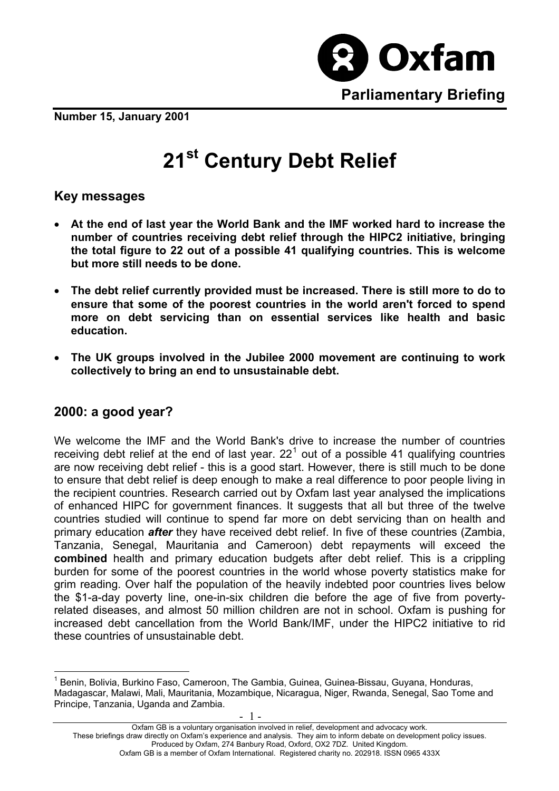

**Number 15, January 2001**

# **21st Century Debt Relief**

#### **Key messages**

- **At the end of last year the World Bank and the IMF worked hard to increase the number of countries receiving debt relief through the HIPC2 initiative, bringing the total figure to 22 out of a possible 41 qualifying countries. This is welcome but more still needs to be done.**
- **The debt relief currently provided must be increased. There is still more to do to ensure that some of the poorest countries in the world aren't forced to spend more on debt servicing than on essential services like health and basic education.**
- **The UK groups involved in the Jubilee 2000 movement are continuing to work collectively to bring an end to unsustainable debt.**

#### **2000: a good year?**

 $\overline{a}$ 

We welcome the IMF and the World Bank's drive to increase the number of countries receiving debt relief at the end of last year. 22<sup>[1](#page-0-0)</sup> out of a possible 41 qualifying countries are now receiving debt relief - this is a good start. However, there is still much to be done to ensure that debt relief is deep enough to make a real difference to poor people living in the recipient countries. Research carried out by Oxfam last year analysed the implications of enhanced HIPC for government finances. It suggests that all but three of the twelve countries studied will continue to spend far more on debt servicing than on health and primary education *after* they have received debt relief. In five of these countries (Zambia, Tanzania, Senegal, Mauritania and Cameroon) debt repayments will exceed the **combined** health and primary education budgets after debt relief. This is a crippling burden for some of the poorest countries in the world whose poverty statistics make for grim reading. Over half the population of the heavily indebted poor countries lives below the \$1-a-day poverty line, one-in-six children die before the age of five from povertyrelated diseases, and almost 50 million children are not in school. Oxfam is pushing for increased debt cancellation from the World Bank/IMF, under the HIPC2 initiative to rid these countries of unsustainable debt.

- 1 -

<span id="page-0-0"></span><sup>&</sup>lt;sup>1</sup> Benin, Bolivia, Burkino Faso, Cameroon, The Gambia, Guinea, Guinea-Bissau, Guyana, Honduras, Madagascar, Malawi, Mali, Mauritania, Mozambique, Nicaragua, Niger, Rwanda, Senegal, Sao Tome and Principe, Tanzania, Uganda and Zambia.